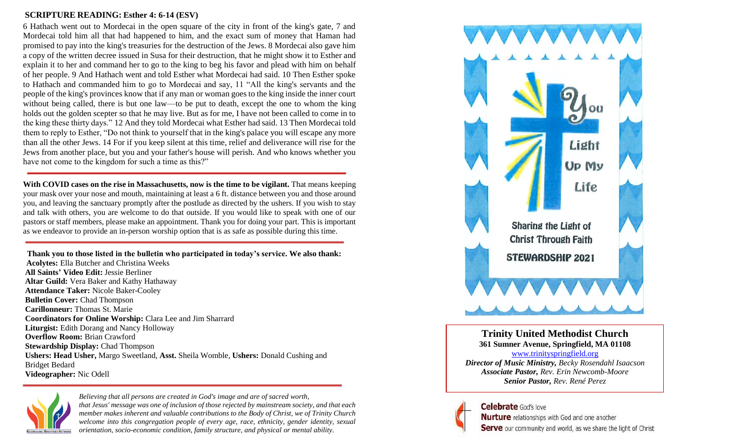### **SCRIPTURE READING: Esther 4: 6-14 (ESV)**

6 Hathach went out to Mordecai in the open square of the city in front of the king's gate, 7 and Mordecai told him all that had happened to him, and the exact sum of money that Haman had promised to pay into the king's treasuries for the destruction of the Jews. 8 Mordecai also gave him a copy of the written decree issued in Susa for their destruction, that he might show it to Esther and explain it to her and command her to go to the king to beg his favor and plead with him on behalf of her people. 9 And Hathach went and told Esther what Mordecai had said. 10 Then Esther spoke to Hathach and commanded him to go to Mordecai and say, 11 "All the king's servants and the people of the king's provinces know that if any man or woman goes to the king inside the inner court without being called, there is but one law—to be put to death, except the one to whom the king holds out the golden scepter so that he may live. But as for me, I have not been called to come in to the king these thirty days." 12 And they told Mordecai what Esther had said. 13 Then Mordecai told them to reply to Esther, "Do not think to yourself that in the king's palace you will escape any more than all the other Jews. 14 For if you keep silent at this time, relief and deliverance will rise for the Jews from another place, but you and your father's house will perish. And who knows whether you have not come to the kingdom for such a time as this?"

**With COVID cases on the rise in Massachusetts, now is the time to be vigilant.** That means keeping your mask over your nose and mouth, maintaining at least a 6 ft. distance between you and those around you, and leaving the sanctuary promptly after the postlude as directed by the ushers. If you wish to stay and talk with others, you are welcome to do that outside. If you would like to speak with one of our pastors or staff members, please make an appointment. Thank you for doing your part. This is important as we endeavor to provide an in-person worship option that is as safe as possible during this time.

**Thank you to those listed in the bulletin who participated in today's service. We also thank: Acolytes:** Ella Butcher and Christina Weeks **All Saints' Video Edit:** Jessie Berliner **Altar Guild:** Vera Baker and Kathy Hathaway **Attendance Taker:** Nicole Baker-Cooley **Bulletin Cover:** Chad Thompson **Carillonneur:** Thomas St. Marie **Coordinators for Online Worship:** Clara Lee and Jim Sharrard **Liturgist:** Edith Dorang and Nancy Holloway **Overflow Room:** Brian Crawford **Stewardship Display:** Chad Thompson **Ushers: Head Usher,** Margo Sweetland, **Asst.** Sheila Womble, **Ushers:** Donald Cushing and Bridget Bedard **Videographer:** Nic Odell



*Believing that all persons are created in God's image and are of sacred worth, that Jesus' message was one of inclusion of those rejected by mainstream society, and that each member makes inherent and valuable contributions to the Body of Christ, we of Trinity Church welcome into this congregation people of every age, race, ethnicity, gender identity, sexual orientation, socio-economic condition, family structure, and physical or mental ability.*



**Trinity United Methodist Church 361 Sumner Avenue, Springfield, MA 01108** [www.trinityspringfield.org](http://www.trinityspringfield.org/) *Director of Music Ministry, Becky Rosendahl Isaacson Associate Pastor, Rev. Erin Newcomb-Moore Senior Pastor, Rev. René Perez*

# **Celebrate** God's love

Nurture relationships with God and one another Serve our community and world, as we share the light of Christ